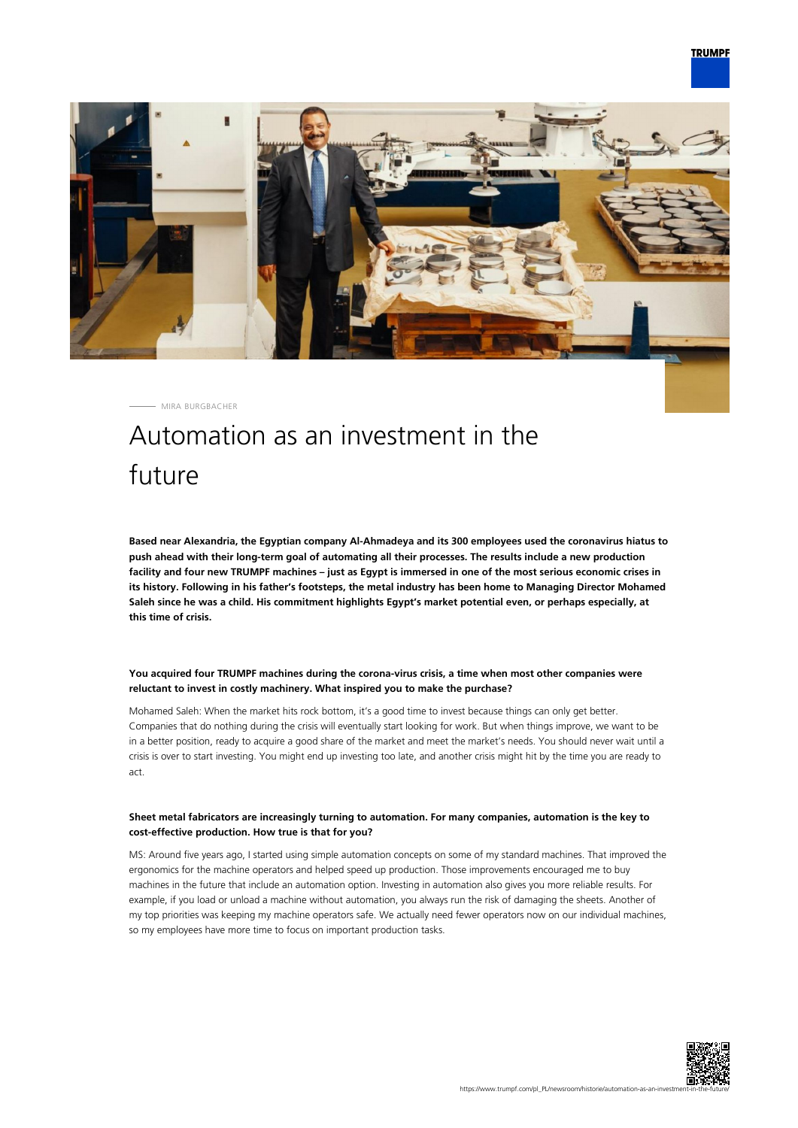

MIRA BURGBACHER

# Automation as an investment in the future

**Based near Alexandria, the Egyptian company Al-Ahmadeya and its 300 employees used the coronavirus hiatus to push ahead with their long-term goal of automating all their processes. The results include a new production facility and four new TRUMPF machines – just as Egypt is immersed in one of the most serious economic crises in its history. Following in his father's footsteps, the metal industry has been home to Managing Director Mohamed Saleh since he was a child. His commitment highlights Egypt's market potential even, or perhaps especially, at this time of crisis.**

### **You acquired four TRUMPF machines during the corona-virus crisis, a time when most other companies were reluctant to invest in costly machinery. What inspired you to make the purchase?**

Mohamed Saleh: When the market hits rock bottom, it's a good time to invest because things can only get better. Companies that do nothing during the crisis will eventually start looking for work. But when things improve, we want to be in a better position, ready to acquire a good share of the market and meet the market's needs. You should never wait until a crisis is over to start investing. You might end up investing too late, and another crisis might hit by the time you are ready to act.

#### **Sheet metal fabricators are increasingly turning to automation. For many companies, automation is the key to cost-effective production. How true is that for you?**

MS: Around five years ago, I started using simple automation concepts on some of my standard machines. That improved the ergonomics for the machine operators and helped speed up production. Those improvements encouraged me to buy machines in the future that include an automation option. Investing in automation also gives you more reliable results. For example, if you load or unload a machine without automation, you always run the risk of damaging the sheets. Another of my top priorities was keeping my machine operators safe. We actually need fewer operators now on our individual machines, so my employees have more time to focus on important production tasks.

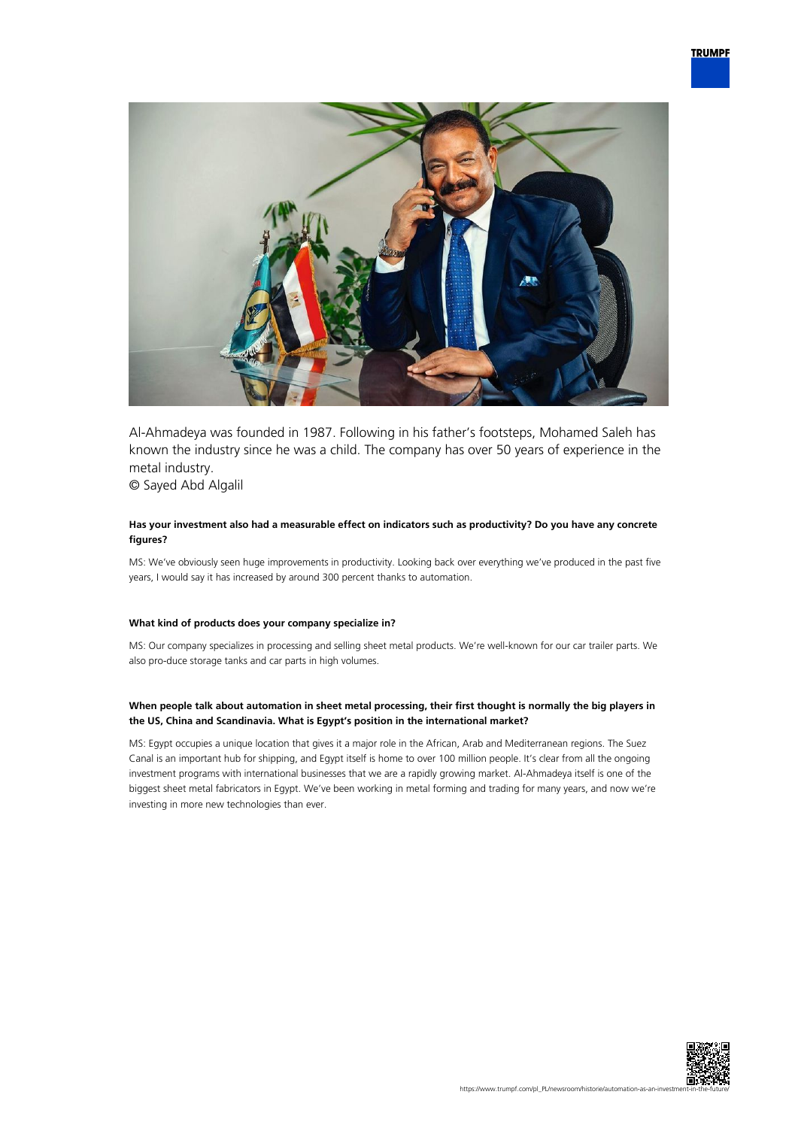

Al-Ahmadeya was founded in 1987. Following in his father's footsteps, Mohamed Saleh has known the industry since he was a child. The company has over 50 years of experience in the metal industry.

© Sayed Abd Algalil

#### **Has your investment also had a measurable effect on indicators such as productivity? Do you have any concrete figures?**

MS: We've obviously seen huge improvements in productivity. Looking back over everything we've produced in the past five years, I would say it has increased by around 300 percent thanks to automation.

#### **What kind of products does your company specialize in?**

MS: Our company specializes in processing and selling sheet metal products. We're well-known for our car trailer parts. We also pro-duce storage tanks and car parts in high volumes.

#### **When people talk about automation in sheet metal processing, their first thought is normally the big players in the US, China and Scandinavia. What is Egypt's position in the international market?**

MS: Egypt occupies a unique location that gives it a major role in the African, Arab and Mediterranean regions. The Suez Canal is an important hub for shipping, and Egypt itself is home to over 100 million people. It's clear from all the ongoing investment programs with international businesses that we are a rapidly growing market. Al-Ahmadeya itself is one of the biggest sheet metal fabricators in Egypt. We've been working in metal forming and trading for many years, and now we're investing in more new technologies than ever.